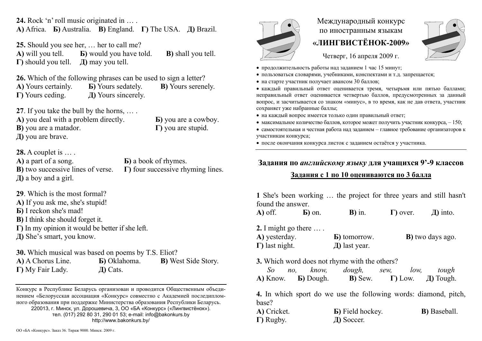**24.** Rock 'n' roll music originated in … . **A)** Africa. **Б)** Australia. **В)** England. **Г)** The USA. **Д)** Brazil.

**25.** Should you see her, … her to call me? **A)** will you tell. **Б)** would you have told. **В)** shall you tell. **Г)** should you tell. **Д)** may you tell.

**26.** Which of the following phrases can be used to sign a letter?

**A)** Yours certainly. **Б)** Yours sedately. **В)** Yours serenely. **Г)** Yours ceding. **Д)** Yours sincerely.

**27**. If you take the bull by the horns, … .

**A)** you deal with a problem directly.

**В)** you are a matador.

**Д)** you are brave.

**Б)** you are a cowboy. **Г)** you are stupid.

**28.** A couplet is … . **A)** a part of a song. **В)** two successive lines of verse. **Д)** a boy and a girl.

**Б)** a book of rhymes. **Г)** four successive rhyming lines.

**29**. Which is the most formal?

**A)** If you ask me, she's stupid!

**Б)** I reckon she's mad!

**В)** I think she should forget it.

**Г)** In my opinion it would be better if she left.

**Д)** She's smart, you know.

**30.** Which musical was based on poems by T.S. Eliot?

**A)** A Chorus Line. **Б)** Oklahoma. **В)** West Side Story. **Г)** My Fair Lady. **Д)** Cats.

Конкурс <sup>в</sup> Республике Беларусь организован и проводится Общественным объединением «Белорусская ассоциация «Конкурс» совместно <sup>с</sup> Академией последипломного образования при поддержке Министерства образования Республики Беларусь. 220013, <sup>г</sup>. Минск, ул. Дорошевича, 3, ОО «БА «Конкурс» («Лингвистёнок»). тел. (017) 292 80 31, 290 01 53; e-mail: info@bakonkurs.by http://www.bakonkurs.by/

## Международный конкурс по иностранным языкам **«ЛИНГВИСТЁНОК-2009»**



Четверг, 16 апреля 2009 г.

- продолжительность работы над заданием 1 час 15 минут;
- пользоваться словарями, учебниками, конспектами и <sup>т</sup>.д. запрещается;
- на старте участник получает авансом 30 баллов;

 каждый правильный ответ оценивается тремя, четырьмя или пятью баллами; неправильный ответ оценивается четвертью баллов, предусмотренных за данный вопрос, <sup>и</sup> засчитывается со знаком «минус», <sup>в</sup> то время, как не дав ответа, участник сохраняет уже набранные баллы;

- на каждый вопрос имеется только один правильный ответ;
- максимальное количество баллов, которое может получить участник конкурса,  $-150$ ;
- самостоятельная и честная работа над заданием главное требование организаторов к участникам конкурса;

после окончания конкурса листок <sup>с</sup> заданием остаётся у участника.

## **Задания по** *английскому языку* **для учащихся 9'-9 классов**

## **Задания <sup>с</sup> 1 по 10 оцениваются по 3 балла**

**1** She's been working … the project for three years and still hasn't found the answer. **A)** off. **Б)** on. **В)** in. **Г)** over. **Д)** into. **2.** I might go there … . **A)** yesterday. **Б)** tomorrow.  $\mathbf{D}$ **)** two days ago.

| $\Delta$ ) yusuludy.   | $\mathbf{D}$ , which $\mathbf{W}$ . | D) two days ago. |
|------------------------|-------------------------------------|------------------|
| $\Gamma$ ) last night. | $\pi$ ) last year.                  |                  |

**3.** Which word does not rhyme with the others?

| So.      | $n_{O}$ | know.             | dough,          | sew, | low,            | tough            |
|----------|---------|-------------------|-----------------|------|-----------------|------------------|
| A) Know. |         | <b>B</b> ) Dough. | <b>B</b> ) Sew. |      | $\Gamma$ ) Low. | <b>Д)</b> Tough. |

**4.** In which sport do we use the following words: diamond, pitch, base?

| A) Cricket.       | <b>B</b> ) Field hockey. | <b>B</b> ) Baseball. |
|-------------------|--------------------------|----------------------|
| $\Gamma$ ) Rugby. | Д) Soccer.               |                      |